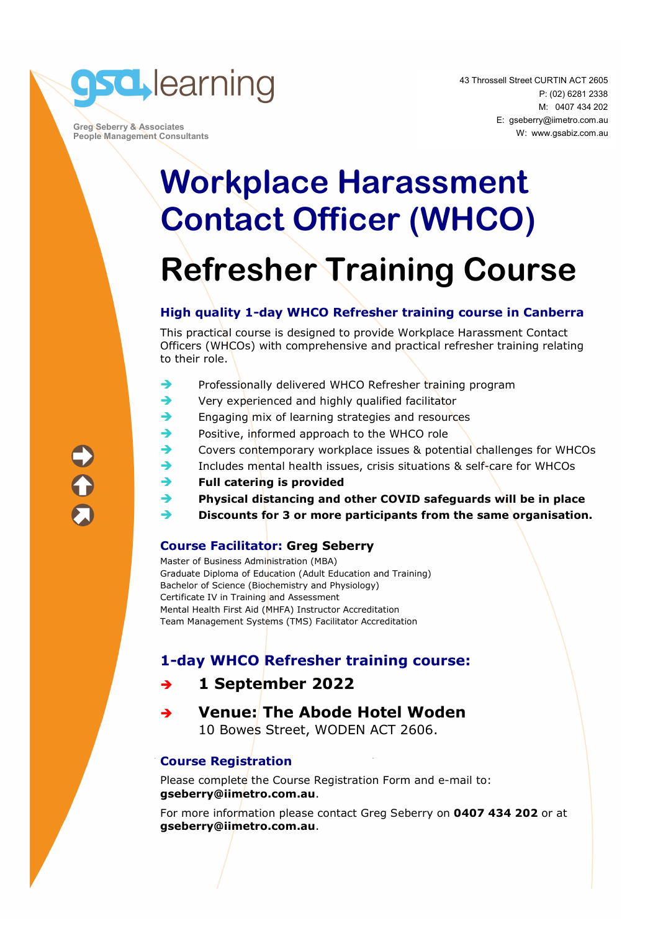

 **Greg Seberry & Associates People Management Consultants** 

## **Workplace Harassment Contact Officer (WHCO) Refresher Training Course**

#### **High quality 1-day WHCO Refresher training course in Canberra**

This practical course is designed to provide Workplace Harassment Contact Officers (WHCOs) with comprehensive and practical refresher training relating to their role.

- $\rightarrow$  Professionally delivered WHCO Refresher training program
- $\rightarrow$  Very experienced and highly qualified facilitator
- $\rightarrow$  Engaging mix of learning strategies and resources
- Positive, informed approach to the WHCO role
- Covers contemporary workplace issues & potential challenges for WHCOs
- Includes mental health issues, crisis situations & self-care for WHCOs
- **Full catering is provided**
- **Physical distancing and other COVID safeguards will be in place**
- **Discounts for 3 or more participants from the same organisation.**

#### **Course Facilitator: Greg Seberry**

Master of Business Administration (MBA) Graduate Diploma of Education (Adult Education and Training) Bachelor of Science (Biochemistry and Physiology) Certificate IV in Training and Assessment Mental Health First Aid (MHFA) Instructor Accreditation Team Management Systems (TMS) Facilitator Accreditation

#### **1-day WHCO Refresher training course:**

#### **1 September 2022**

 **Venue: The Abode Hotel Woden**  10 Bowes Street, WODEN ACT 2606.

#### **Course Registration**

Please complete the Course Registration Form and e-mail to: **gseberry@iimetro.com.au**.

For more information please contact Greg Seberry on **0407 434 202** or at **gseberry@iimetro.com.au**.